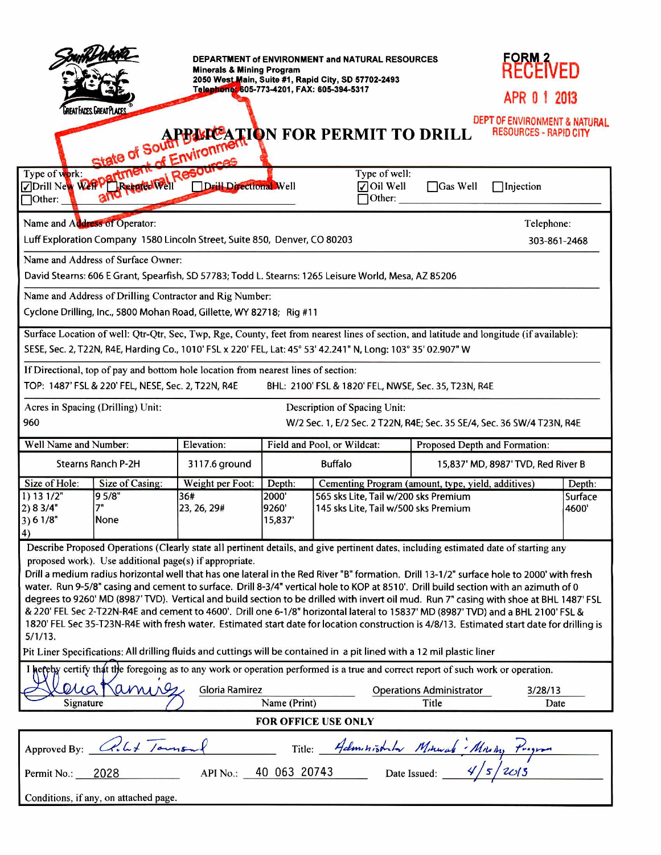| DEPARTMENT of ENVIRONMENT and NATURAL RESOURCES<br><b>Minerals &amp; Mining Program</b><br>2050 West Main, Suite #1, Rapid City, SD 57702-2493<br>Telephone: 605-773-4201, FAX: 605-394-5317<br>REAT FACES GREATPLACES<br>APPINDEATION FOR PERMIT TO DRILL<br>of Environmer                                                                                                                                                                                                                                                                                                                                                                                                                                                                                                                                                                                                                                                                                                                                                                                 |                                  |                                        |                                    |                                                |                                                                                                                                    | FORM 2<br>RECEIVED<br>APR 0 1 2013<br>DEPT OF ENVIRONMENT & NATURAL<br><b>RESOURCES - RAPID CITY</b> |                           |
|-------------------------------------------------------------------------------------------------------------------------------------------------------------------------------------------------------------------------------------------------------------------------------------------------------------------------------------------------------------------------------------------------------------------------------------------------------------------------------------------------------------------------------------------------------------------------------------------------------------------------------------------------------------------------------------------------------------------------------------------------------------------------------------------------------------------------------------------------------------------------------------------------------------------------------------------------------------------------------------------------------------------------------------------------------------|----------------------------------|----------------------------------------|------------------------------------|------------------------------------------------|------------------------------------------------------------------------------------------------------------------------------------|------------------------------------------------------------------------------------------------------|---------------------------|
|                                                                                                                                                                                                                                                                                                                                                                                                                                                                                                                                                                                                                                                                                                                                                                                                                                                                                                                                                                                                                                                             | Drill New Weep Development       | Resor<br>Drill Directional Well        |                                    | Type of well:<br>$\sqrt{ }$ Oil Well<br>Other: | $\Box$ Gas Well                                                                                                                    | Injection                                                                                            |                           |
| Name and Address of Operator:                                                                                                                                                                                                                                                                                                                                                                                                                                                                                                                                                                                                                                                                                                                                                                                                                                                                                                                                                                                                                               |                                  |                                        |                                    |                                                |                                                                                                                                    | Telephone:                                                                                           |                           |
| Luff Exploration Company 1580 Lincoln Street, Suite 850, Denver, CO 80203<br>303-861-2468                                                                                                                                                                                                                                                                                                                                                                                                                                                                                                                                                                                                                                                                                                                                                                                                                                                                                                                                                                   |                                  |                                        |                                    |                                                |                                                                                                                                    |                                                                                                      |                           |
| Name and Address of Surface Owner:<br>David Stearns: 606 E Grant, Spearfish, SD 57783; Todd L. Stearns: 1265 Leisure World, Mesa, AZ 85206                                                                                                                                                                                                                                                                                                                                                                                                                                                                                                                                                                                                                                                                                                                                                                                                                                                                                                                  |                                  |                                        |                                    |                                                |                                                                                                                                    |                                                                                                      |                           |
| Name and Address of Drilling Contractor and Rig Number:<br>Cyclone Drilling, Inc., 5800 Mohan Road, Gillette, WY 82718; Rig #11                                                                                                                                                                                                                                                                                                                                                                                                                                                                                                                                                                                                                                                                                                                                                                                                                                                                                                                             |                                  |                                        |                                    |                                                |                                                                                                                                    |                                                                                                      |                           |
| Surface Location of well: Qtr-Qtr, Sec, Twp, Rge, County, feet from nearest lines of section, and latitude and longitude (if available):<br>SESE, Sec. 2, T22N, R4E, Harding Co., 1010' FSL x 220' FEL, Lat: 45° 53' 42.241" N, Long: 103° 35' 02.907" W                                                                                                                                                                                                                                                                                                                                                                                                                                                                                                                                                                                                                                                                                                                                                                                                    |                                  |                                        |                                    |                                                |                                                                                                                                    |                                                                                                      |                           |
| If Directional, top of pay and bottom hole location from nearest lines of section:<br>TOP: 1487' FSL & 220' FEL, NESE, Sec. 2, T22N, R4E<br>BHL: 2100' FSL & 1820' FEL, NWSE, Sec. 35, T23N, R4E                                                                                                                                                                                                                                                                                                                                                                                                                                                                                                                                                                                                                                                                                                                                                                                                                                                            |                                  |                                        |                                    |                                                |                                                                                                                                    |                                                                                                      |                           |
| Acres in Spacing (Drilling) Unit:<br>Description of Spacing Unit:<br>960<br>W/2 Sec. 1, E/2 Sec. 2 T22N, R4E; Sec. 35 SE/4, Sec. 36 SW/4 T23N, R4E                                                                                                                                                                                                                                                                                                                                                                                                                                                                                                                                                                                                                                                                                                                                                                                                                                                                                                          |                                  |                                        |                                    |                                                |                                                                                                                                    |                                                                                                      |                           |
| Well Name and Number:                                                                                                                                                                                                                                                                                                                                                                                                                                                                                                                                                                                                                                                                                                                                                                                                                                                                                                                                                                                                                                       |                                  | Elevation:                             | Field and Pool, or Wildcat:        |                                                |                                                                                                                                    | Proposed Depth and Formation:                                                                        |                           |
| <b>Stearns Ranch P-2H</b>                                                                                                                                                                                                                                                                                                                                                                                                                                                                                                                                                                                                                                                                                                                                                                                                                                                                                                                                                                                                                                   |                                  | 3117.6 ground                          | <b>Buffalo</b>                     |                                                |                                                                                                                                    | 15,837' MD, 8987' TVD, Red River B                                                                   |                           |
| Size of Hole:<br>1) 13 1/2"<br>2) 8 3/4"<br>3) 6 1/8"<br>4)                                                                                                                                                                                                                                                                                                                                                                                                                                                                                                                                                                                                                                                                                                                                                                                                                                                                                                                                                                                                 | Size of Casing:<br>95/8"<br>None | Weight per Foot:<br>36#<br>23, 26, 29# | Depth:<br>2000'<br>9260<br>15,837' |                                                | Cementing Program (amount, type, yield, additives)<br>565 sks Lite, Tail w/200 sks Premium<br>145 sks Lite, Tail w/500 sks Premium |                                                                                                      | Depth:<br>Surface<br>4600 |
| Describe Proposed Operations (Clearly state all pertinent details, and give pertinent dates, including estimated date of starting any<br>proposed work). Use additional page(s) if appropriate.<br>Drill a medium radius horizontal well that has one lateral in the Red River "B" formation. Drill 13-1/2" surface hole to 2000' with fresh<br>water. Run 9-5/8" casing and cement to surface. Drill 8-3/4" vertical hole to KOP at 8510'. Drill build section with an azimuth of 0<br>degrees to 9260' MD (8987' TVD). Vertical and build section to be drilled with invert oil mud. Run 7" casing with shoe at BHL 1487' FSL<br>& 220' FEL Sec 2-T22N-R4E and cement to 4600'. Drill one 6-1/8" horizontal lateral to 15837' MD (8987' TVD) and a BHL 2100' FSL &<br>1820' FEL Sec 35-T23N-R4E with fresh water. Estimated start date for location construction is 4/8/13. Estimated start date for drilling is<br>$5/1/13$ .<br>Pit Liner Specifications: All drilling fluids and cuttings will be contained in a pit lined with a 12 mil plastic liner |                                  |                                        |                                    |                                                |                                                                                                                                    |                                                                                                      |                           |
| I hefeby certify that the foregoing as to any work or operation performed is a true and correct report of such work or operation.                                                                                                                                                                                                                                                                                                                                                                                                                                                                                                                                                                                                                                                                                                                                                                                                                                                                                                                           |                                  |                                        |                                    |                                                |                                                                                                                                    |                                                                                                      |                           |
| $Q\mu a$<br>anyse<br>Gloria Ramirez<br><b>Operations Administrator</b><br>Name (Print)<br>Signature<br>Title                                                                                                                                                                                                                                                                                                                                                                                                                                                                                                                                                                                                                                                                                                                                                                                                                                                                                                                                                |                                  |                                        |                                    |                                                |                                                                                                                                    | 3/28/13<br>Date                                                                                      |                           |
| <b>FOR OFFICE USE ONLY</b>                                                                                                                                                                                                                                                                                                                                                                                                                                                                                                                                                                                                                                                                                                                                                                                                                                                                                                                                                                                                                                  |                                  |                                        |                                    |                                                |                                                                                                                                    |                                                                                                      |                           |
| $\frac{2}{\sqrt{1-\frac{1}{100}}}\$ Title: Administration Minural Mining Program<br>Chilet Jamson<br>Approved By:                                                                                                                                                                                                                                                                                                                                                                                                                                                                                                                                                                                                                                                                                                                                                                                                                                                                                                                                           |                                  |                                        |                                    |                                                |                                                                                                                                    |                                                                                                      |                           |
| 2028<br>Permit No.:                                                                                                                                                                                                                                                                                                                                                                                                                                                                                                                                                                                                                                                                                                                                                                                                                                                                                                                                                                                                                                         |                                  |                                        |                                    |                                                |                                                                                                                                    |                                                                                                      |                           |
| Conditions, if any, on attached page.                                                                                                                                                                                                                                                                                                                                                                                                                                                                                                                                                                                                                                                                                                                                                                                                                                                                                                                                                                                                                       |                                  |                                        |                                    |                                                |                                                                                                                                    |                                                                                                      |                           |